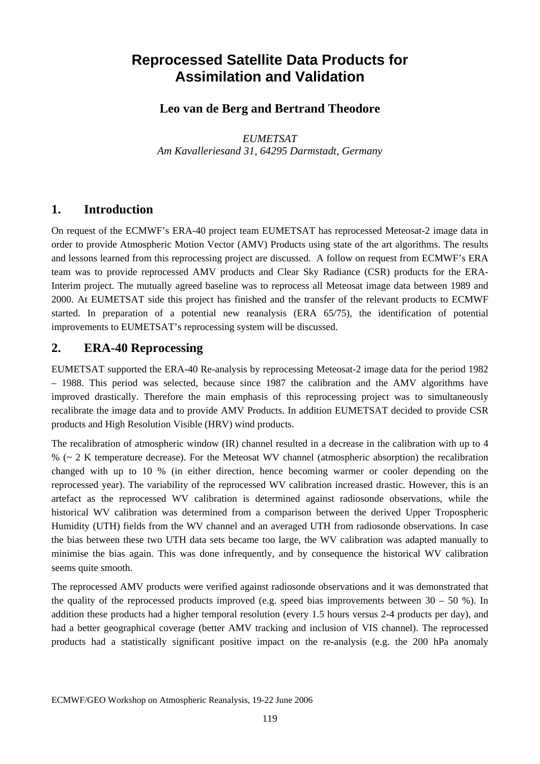# **Reprocessed Satellite Data Products for Assimilation and Validation**

#### **Leo van de Berg and Bertrand Theodore**

*EUMETSAT Am Kavalleriesand 31, 64295 Darmstadt, Germany* 

#### **1. Introduction**

On request of the ECMWF's ERA-40 project team EUMETSAT has reprocessed Meteosat-2 image data in order to provide Atmospheric Motion Vector (AMV) Products using state of the art algorithms. The results and lessons learned from this reprocessing project are discussed. A follow on request from ECMWF's ERA team was to provide reprocessed AMV products and Clear Sky Radiance (CSR) products for the ERA-Interim project. The mutually agreed baseline was to reprocess all Meteosat image data between 1989 and 2000. At EUMETSAT side this project has finished and the transfer of the relevant products to ECMWF started. In preparation of a potential new reanalysis (ERA 65/75), the identification of potential improvements to EUMETSAT's reprocessing system will be discussed.

#### **2. ERA-40 Reprocessing**

EUMETSAT supported the ERA-40 Re-analysis by reprocessing Meteosat-2 image data for the period 1982 – 1988. This period was selected, because since 1987 the calibration and the AMV algorithms have improved drastically. Therefore the main emphasis of this reprocessing project was to simultaneously recalibrate the image data and to provide AMV Products. In addition EUMETSAT decided to provide CSR products and High Resolution Visible (HRV) wind products.

The recalibration of atmospheric window (IR) channel resulted in a decrease in the calibration with up to 4 % (~ 2 K temperature decrease). For the Meteosat WV channel (atmospheric absorption) the recalibration changed with up to 10 % (in either direction, hence becoming warmer or cooler depending on the reprocessed year). The variability of the reprocessed WV calibration increased drastic. However, this is an artefact as the reprocessed WV calibration is determined against radiosonde observations, while the historical WV calibration was determined from a comparison between the derived Upper Tropospheric Humidity (UTH) fields from the WV channel and an averaged UTH from radiosonde observations. In case the bias between these two UTH data sets became too large, the WV calibration was adapted manually to minimise the bias again. This was done infrequently, and by consequence the historical WV calibration seems quite smooth.

The reprocessed AMV products were verified against radiosonde observations and it was demonstrated that the quality of the reprocessed products improved (e.g. speed bias improvements between  $30 - 50$  %). In addition these products had a higher temporal resolution (every 1.5 hours versus 2-4 products per day), and had a better geographical coverage (better AMV tracking and inclusion of VIS channel). The reprocessed products had a statistically significant positive impact on the re-analysis (e.g. the 200 hPa anomaly